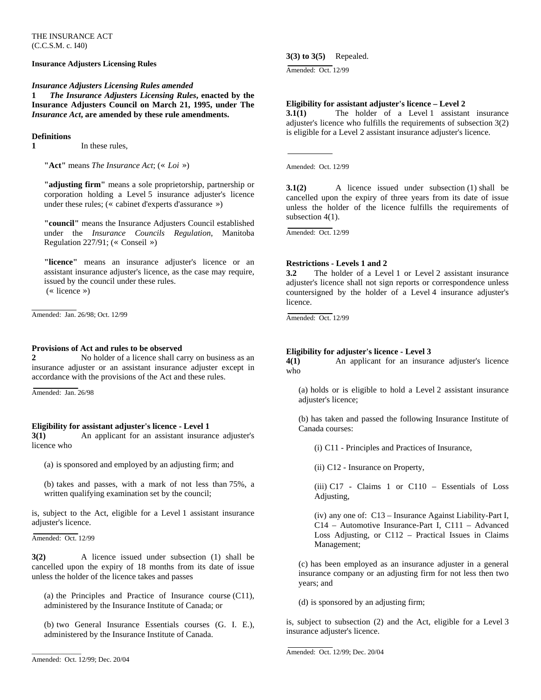THE INSURANCE ACT (C.C.S.M. c. I40)

# **Insurance Adjusters Licensing Rules**

# *Insurance Adjusters Licensing Rules amended*

**1** *The Insurance Adjusters Licensing Rules***, enacted by the Insurance Adjusters Council on March 21, 1995, under The**  *Insurance Act***, are amended by these rule amendments.** 

### **Definitions**

**1** In these rules,

**"Act"** means *The Insurance Act*; (« *Loi* »)

**"adjusting firm"** means a sole proprietorship, partnership or corporation holding a Level 5 insurance adjuster's licence under these rules; (« cabinet d'experts d'assurance »)

**"council"** means the Insurance Adjusters Council established under the *Insurance Councils Regulation*, Manitoba Regulation 227/91; (« Conseil »)

**"licence"** means an insurance adjuster's licence or an assistant insurance adjuster's licence, as the case may require, issued by the council under these rules. (« licence »)

Amended: Jan. 26/98; Oct. 12/99

#### **Provisions of Act and rules to be observed**

**2** No holder of a licence shall carry on business as an insurance adjuster or an assistant insurance adjuster except in accordance with the provisions of the Act and these rules.

Amended: Jan. 26/98

# **Eligibility for assistant adjuster's licence - Level 1**

**3(1)** An applicant for an assistant insurance adjuster's licence who

(a) is sponsored and employed by an adjusting firm; and

(b) takes and passes, with a mark of not less than 75%, a written qualifying examination set by the council;

is, subject to the Act, eligible for a Level 1 assistant insurance adjuster's licence.

Amended: Oct. 12/99

**3(2)** A licence issued under subsection (1) shall be cancelled upon the expiry of 18 months from its date of issue unless the holder of the licence takes and passes

(a) the Principles and Practice of Insurance course (C11), administered by the Insurance Institute of Canada; or

(b) two General Insurance Essentials courses (G. I. E.), administered by the Insurance Institute of Canada.

\_\_\_\_\_\_\_\_\_\_\_\_\_\_

# **3(3) to 3(5)** Repealed.

Amended: Oct. 12/99

# **Eligibility for assistant adjuster's licence – Level 2**

**3.1(1)** The holder of a Level 1 assistant insurance adjuster's licence who fulfills the requirements of subsection 3(2) is eligible for a Level 2 assistant insurance adjuster's licence.

Amended: Oct. 12/99

unless the holder of the licence fulfills the requirements of subsection  $4(1)$ . **3.1(2)** A licence issued under subsection (1) shall be cancelled upon the expiry of three years from its date of issue

Amended: Oct. 12/99

# **Restrictions - Levels 1 and 2**

countersigned by the holder of a Level 4 insurance adjuster's **3.2** The holder of a Level 1 or Level 2 assistant insurance adjuster's licence shall not sign reports or correspondence unless licence.

Amended: Oct. 12/99

# **Eligibility for adjuster's licence - Level 3**

 An applicant for an insurance adjuster's licence who **4(1)**

(a) holds or is eligible to hold a Level 2 assistant insurance adjuster's licence;

(b) has taken and passed the following Insurance Institute of Canada courses:

(i) C11 - Principles and Practices of Insurance,

(ii) C12 - Insurance on Property,

 $(iii)$  C17 - Claims 1 or C110 - Essentials of Loss Adjusting,

Loss Adjusting, or C112 - Practical Issues in Claims Management; (iv) any one of: C13 – Insurance Against Liability-Part I, C14 – Automotive Insurance-Part I, C111 – Advanced

insurance company or an adjusting firm for not less then two years; and (c) has been employed as an insurance adjuster in a general

(d) is sponsored by an adjusting firm;

is, subject to subsection (2) and the Act, eligible for a Level 3 insurance adjuster's licence.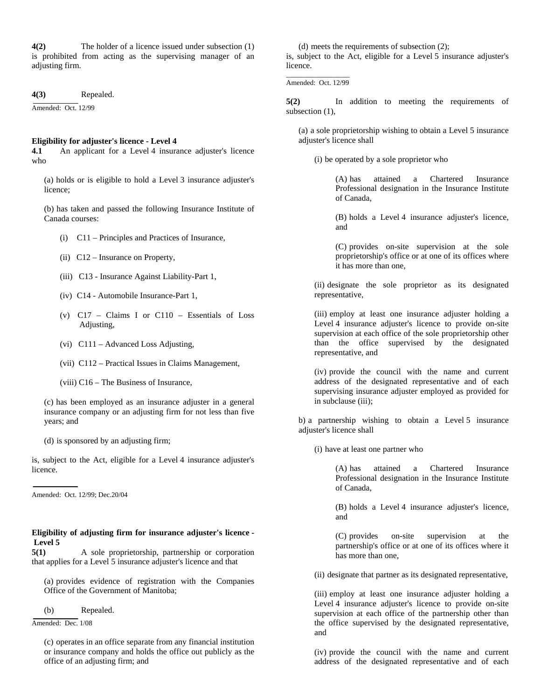**4(2)** The holder of a licence issued under subsection (1) is prohibited from acting as the supervising manager of an adjusting firm.

4(3) Repealed.

Amended: Oct. 12/99

# **Eligibility for adjuster's licence - Level 4**

An applicant for a Level 4 insurance adjuster's licence who **4.1**

(a) holds or is eligible to hold a Level 3 insurance adjuster's licence;

(b) has taken and passed the following Insurance Institute of Canada courses:

- (i) C11 Principles and Practices of Insurance,
- (ii) C12 Insurance on Property,
- (iii) C13 Insurance Against Liability-Part 1,
- (iv) C14 Automobile Insurance-Part 1,
- (v)  $C17 Clains I$  or  $C110 Essentials$  of Loss Adjusting,
- (vi) C111 Advanced Loss Adjusting,
- (vii) C112 Practical Issues in Claims Management,
- (viii) C16 The Business of Insurance,

insurance company or an adjusting firm for not less than five years; and (c) has been employed as an insurance adjuster in a general

(d) is sponsored by an adjusting firm;

is, subject to the Act, eligible for a Level 4 insurance adjuster's licence.

Amended: Oct. 12/99; Dec.20/04

# Eligibility of adjusting firm for insurance adjuster's licence - **5 Level**

5(1) A sole proprietorship, partnership or corporation that applies for a Level 5 insurance adjuster's licence and that

(a) provides evidence of registration with the Companies Office of the Government of Manitoba;

(b) Repealed.

Amended: Dec. 1/08

or insurance company and holds the office out publicly as the office of an adjusting firm; and (c) operates in an office separate from any financial institution

(d) meets the requirements of subsection (2);

is, subject to the Act, eligible for a Level 5 insurance adjuster's licence.

Amended: Oct. 12/99  $\mathcal{L}=\mathcal{L}$  , we can also the set of the set of the set of the set of the set of the set of the set of the set of the set of the set of the set of the set of the set of the set of the set of the set of the set of the s

 addition to meeting the requirements of subsection  $(1)$ ,  $5(2)$ 

(a) a sole proprietorship wishing to obtain a Level 5 insurance adjuster's licence shall

(i) be operated by a sole proprietor who

Professional designation in the Insurance Institute of Canada, (A) has attained a Chartered Insurance

(B) holds a Level 4 insurance adjuster's licence, and

proprietorship's office or at one of its offices where it has more than one, (C) provides on-site supervision at the sole

(ii) designate the sole proprietor as its designated representative,

supervised by the designated representative, and (iii) employ at least one insurance adjuster holding a Level 4 insurance adjuster's licence to provide on-site supervision at each office of the sole proprietorship other than the office

supervising insurance adjuster employed as provided for in subclause (iii); (iv) provide the council with the name and current address of the designated representative and of each

b) a partnership wishing to obtain a Level 5 insurance adjuster's licence shall

(i) have at least one partner who

Professional designation in the Insurance Institute of Canada, (A) has attained a Chartered Insurance

(B) holds a Level 4 insurance adjuster's licence, and

partnership's office or at one of its offices where it has more than one, (C) provides on-site supervision at the

(ii) designate that partner as its designated representative,

the office supervised by the designated representative, and (iii) employ at least one insurance adjuster holding a Level 4 insurance adjuster's licence to provide on-site supervision at each office of the partnership other than

(iv) provide the council with the name and current address of the designated representative and of each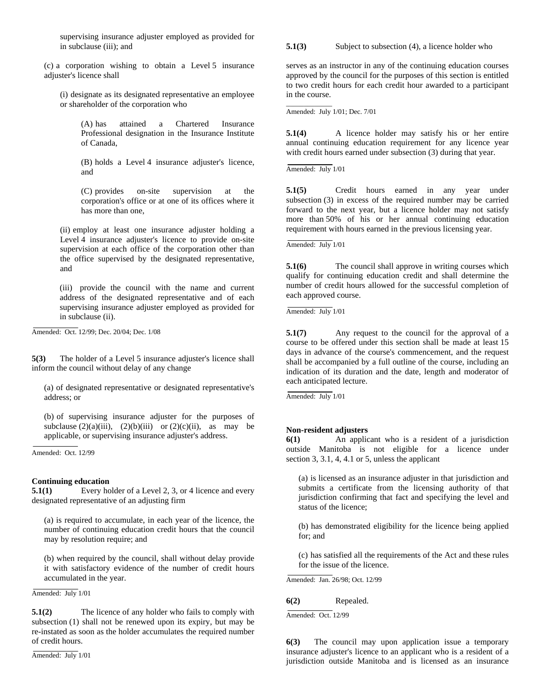supervising insurance adjuster employed as provided for in subclause (iii); and

(c) a corporation wishing to obtain a Level 5 insurance adjuster's licence shall

(i) designate as its designated representative an employee or shareholder of the corporation who

Professional designation in the Insurance Institute of Canada, (A) has attained a Chartered Insurance

(B) holds a Level 4 insurance adjuster's licence, and

corporation's office or at one of its offices where it has more than one, (C) provides on-site supervision at the

the office supervised by the designated representative, and (ii) employ at least one insurance adjuster holding a Level 4 insurance adjuster's licence to provide on-site supervision at each office of the corporation other than

supervising insurance adjuster employed as provided for (iii) provide the council with the name and current address of the designated representative and of each in subclause (ii).

Amended: Oct. 12/99; Dec. 20/04; Dec. 1/08

**5(3)** The holder of a Level 5 insurance adjuster's licence shall inform the council without delay of any change

(a) of designated representative or designated representative's address; or

subclause  $(2)(a)(iii)$ ,  $(2)(b)(iii)$  or  $(2)(c)(ii)$ , as may be applicable, or supervising insurance adjuster's address. (b) of supervising insurance adjuster for the purposes of

Amended: Oct. 12/99

#### **Continuing education**

**5.1(1)** Every holder of a Level 2, 3, or 4 licence and every designated representative of an adjusting firm

number of continuing education credit hours that the council may by resolution require; and (a) is required to accumulate, in each year of the licence, the

it with satisfactory evidence of the number of credit hours accumulated in the year. (b) when required by the council, shall without delay provide

Amended: July 1/01

re-instated as soon as the holder accumulates the required number **5.1(2)** The licence of any holder who fails to comply with subsection (1) shall not be renewed upon its expiry, but may be of credit hours.

Amended: July 1/01

Subject to subsection (4), a licence holder who **5**

to two credit hours for each credit hour awarded to a participant serves as an instructor in any of the continuing education courses approved by the council for the purposes of this section is entitled in the course.

mended: July 1/01; Dec. 7/01 A

with credit hours earned under subsection (3) during that year. **5.1(4)** A licence holder may satisfy his or her entire annual continuing education requirement for any licence year

Amended: July 1/01

 $\overline{\phantom{a}}$  , where  $\overline{\phantom{a}}$ 

more than 50% of his or her annual continuing education requirement with hours earned in the previous licensing year. **5.1(5)** Credit hours earned in any year under subsection (3) in excess of the required number may be carried forward to the next year, but a licence holder may not satisfy

Amended: July 1/01

number of credit hours allowed for the successful completion of each approved course. **5.1(6)** The council shall approve in writing courses which qualify for continuing education credit and shall determine the

Amended: July 1/01

indication of its duration and the date, length and moderator of **5.1(7)** Any request to the council for the approval of a course to be offered under this section shall be made at least 15 days in advance of the course's commencement, and the request shall be accompanied by a full outline of the course, including an each anticipated lecture.

Amended: July 1/01

### **Non-resident adjusters**

outside Manitoba is not eligible for a licence under section 3, 3.1, 4, 4.1 or 5, unless the applicant **6(1)** An applicant who is a resident of a jurisdiction

jurisdiction confirming that fact and specifying the level and status of the licence; (a) is licensed as an insurance adjuster in that jurisdiction and submits a certificate from the licensing authority of that

(b) has demonstrated eligibility for the licence being applied for; and

(c) has satisfied all the requirements of the Act and these rules for the issue of the licence.

Amended: Jan. 26/98; Oct. 12/99

### 6(2) Repealed.

Amended: Oct. 12/99

jurisdiction outside Manitoba and is licensed as an insurance **6(3)** The council may upon application issue a temporary insurance adjuster's licence to an applicant who is a resident of a